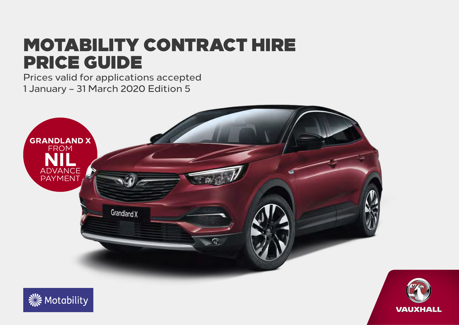# MOTABILITY CONTRACT HIRE PRICE GUIDE

Prices valid for applications accepted 1 January – 31 March 2020 Edition 5





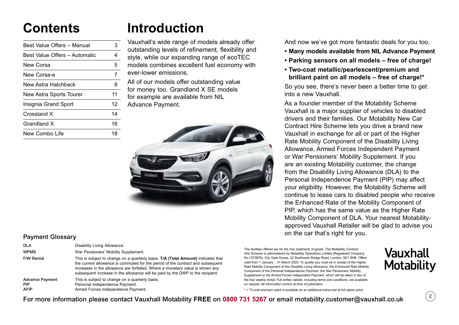### **Contents**

| Best Value Offers - Manual    | З  |
|-------------------------------|----|
| Best Value Offers - Automatic | 4  |
| New Corsa                     | 5  |
| New Corsa-e                   | 7  |
| New Astra Hatchback           | 8  |
| New Astra Sports Tourer       | 11 |
| Insignia Grand Sport          | 12 |
| Crossland X                   | 14 |
| Grandland X                   | 16 |
| New Combo Life                | 18 |

### **Introduction**

Vauxhall's wide range of models already offer outstanding levels of refinement, flexibility and style, while our expanding range of ecoTEC models combines excellent fuel economy with ever-lower emissions.

All of our models offer outstanding value for money too. Grandland X SE models for example are available from NIL Advance Payment.



| <b>DLA</b>                                          | Disability Living Allowance.                                                                                                                                                                                                                                                                                                            |
|-----------------------------------------------------|-----------------------------------------------------------------------------------------------------------------------------------------------------------------------------------------------------------------------------------------------------------------------------------------------------------------------------------------|
| <b>WPMS</b>                                         | War Pensioners' Mobility Supplement.                                                                                                                                                                                                                                                                                                    |
| <b>F/W Rental</b>                                   | This is subject to change on a quarterly basis. T/A (Total Amount) indicates that<br>the current allowance is commuted for the period of the contract and subsequent<br>increases in the allowance are forfeited. Where a monetary value is shown any<br>subsequent increase in the allowance will be paid by the DWP to the recipient. |
| <b>Advance Payment</b><br><b>PIP</b><br><b>AFIP</b> | This is subject to change on a quarterly basis.<br>Personal Independence Payment.<br>Armed Forces Independence Payment.                                                                                                                                                                                                                 |

And now we've got more fantastic deals for you too.

- **Many models available from NIL Advance Payment**
- **Parking sensors on all models free of charge!**
- **Two-coat metallic/pearlescent/premium and brilliant paint on all models – free of charge!\***

So you see, there's never been a better time to get into a new Vauxhall.

As a founder member of the Motability Scheme Vauxhall is a major supplier of vehicles to disabled drivers and their families. Our Motability New Car Contract Hire Scheme lets you drive a brand new Vauxhall in exchange for all or part of the Higher Rate Mobility Component of the Disability Living Allowance, Armed Forces Independent Payment or War Pensioners' Mobility Supplement. If you are an existing Motability customer, the change from the Disability Living Allowance (DLA) to the Personal Independence Payment (PIP) may affect your eligibility. However, the Motability Scheme will continue to lease cars to disabled people who receive the Enhanced Rate of the Mobility Component of PIP, which has the same value as the Higher Rate Mobility Component of DLA. Your nearest Motabilityapproved Vauxhall Retailer will be glad to advise you on the car that's right for you. Payment Glossary

> The facilities offered are for the hire (bailment) of goods. The Motability Contract Hire Scheme is administered by Motability Operations Limited (Registered Company No.1373876), City Gate House, 22 Southwark Bridge Road, London, SE1 9HB. Offers valid from 1 January – 31 March 2020. To qualify you must be in receipt of the Higher Rate Mobility Component of the Disability Living Allowance, the Enhanced Rate Mobility Component of the Personal Independence Payment, the War Pensioners' Mobility Supplement or the Armed Forces Independent Payment, which will be taken in lieu of the four weekly rental. Full written details, including terms and conditions, are available on request. All information correct at time of publication.

### Vauxhall **Motability**

 $2^{\degree}$ 

\* = Tri-coat premium paint is available as an additional extra-cost at full option price.

For more information please contact Vauxhall Motability **FREE** on **0800 731 5267** or email motability.customer@vauxhall.co.uk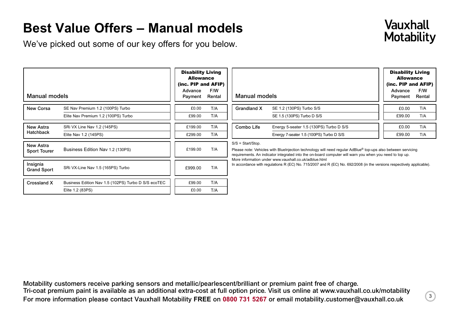### **Best Value Offers – Manual models**

We've picked out some of our key offers for you below.

| Manual models                    |                                                     | <b>Disability Living</b><br><b>Allowance</b><br>(inc. PIP and AFIP)<br>Advance<br>Payment | F/W<br>Rental | Manual models       |                                                                                                                                                                                                                                                                                  | <b>Disability Living</b><br><b>Allowance</b><br>(inc. PIP and AFIP)<br>Advance<br>Payment | F/W<br>Rental |
|----------------------------------|-----------------------------------------------------|-------------------------------------------------------------------------------------------|---------------|---------------------|----------------------------------------------------------------------------------------------------------------------------------------------------------------------------------------------------------------------------------------------------------------------------------|-------------------------------------------------------------------------------------------|---------------|
| New Corsa                        | SE Nav Premium 1.2 (100PS) Turbo                    | £0.00                                                                                     | T/A           | <b>Grandland X</b>  | SE 1.2 (130PS) Turbo S/S                                                                                                                                                                                                                                                         | £0.00                                                                                     | T/A           |
|                                  | Elite Nav Premium 1.2 (100PS) Turbo                 | £99.00                                                                                    | T/A           |                     | SE 1.5 (130PS) Turbo D S/S                                                                                                                                                                                                                                                       | £99.00                                                                                    | T/A           |
| New Astra                        | SRi VX Line Nav 1.2 (145PS)                         | £199.00                                                                                   | T/A           | Combo Life          | Energy 5-seater 1.5 (130PS) Turbo D S/S                                                                                                                                                                                                                                          | £0.00                                                                                     | T/A           |
| <b>Hatchback</b>                 | Elite Nav 1.2 (145PS)                               | £299.00                                                                                   | T/A           |                     | Energy 7-seater 1.5 (100PS) Turbo D S/S                                                                                                                                                                                                                                          | £99.00                                                                                    | T/A           |
| New Astra<br><b>Sport Tourer</b> | Business Edition Nav 1.2 (130PS)                    | £199.00                                                                                   | T/A           | $S/S = Start/Stop.$ | Please note: Vehicles with BlueInjection technology will need regular AdBlue® top-ups also between servicing<br>requirements. An indicator integrated into the on-board computer will warn you when you need to top up.<br>More information under www.vauxhall.co.uk/adblue.html |                                                                                           |               |
| Insignia<br><b>Grand Sport</b>   | SRi VX-Line Nav 1.5 (165PS) Turbo                   | £999.00                                                                                   | T/A           |                     | In accordance with regulations R (EC) No. 715/2007 and R (EC) No. 692/2008 (in the versions respectively applicable).                                                                                                                                                            |                                                                                           |               |
| Crossland X                      | Business Edition Nav 1.5 (102PS) Turbo D S/S ecoTEC | £99.00                                                                                    | T/A           |                     |                                                                                                                                                                                                                                                                                  |                                                                                           |               |
|                                  | Elite 1.2 (83PS)                                    | £0.00                                                                                     | T/A           |                     |                                                                                                                                                                                                                                                                                  |                                                                                           |               |

Motability customers receive parking sensors and metallic/pearlescent/brilliant or premium paint free of charge. Tri-coat premium paint is available as an additional extra-cost at full option price. Visit us online at www.vauxhall.co.uk/motability For more information please contact Vauxhall Motability **FREE** on **0800 731 5267** or email motability.customer@vauxhall.co.uk

**Vauxhall** 

**Motability**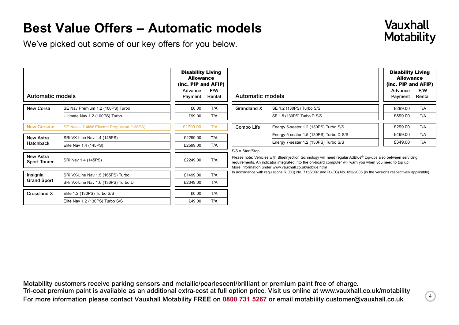### **Best Value Offers – Automatic models**



4

We've picked out some of our key offers for you below.

|                                  | <b>Automatic models</b>                    |          | <b>Disability Living</b><br><b>Allowance</b><br>(inc. PIP and AFIP)<br>F/W<br>Rental | <b>Automatic models</b> | <b>Disability Living</b><br><b>Allowance</b><br>(inc. PIP and AFIP)<br>Advance<br>Payment                                                                                                                                                                                        | F/W<br>Rental |     |  |  |  |  |  |  |
|----------------------------------|--------------------------------------------|----------|--------------------------------------------------------------------------------------|-------------------------|----------------------------------------------------------------------------------------------------------------------------------------------------------------------------------------------------------------------------------------------------------------------------------|---------------|-----|--|--|--|--|--|--|
|                                  |                                            | Payment  |                                                                                      |                         |                                                                                                                                                                                                                                                                                  |               |     |  |  |  |  |  |  |
| <b>New Corsa</b>                 | SE Nav Premium 1.2 (100PS) Turbo           | £0.00    | T/A                                                                                  | <b>Grandland X</b>      | SE 1.2 (130PS) Turbo S/S                                                                                                                                                                                                                                                         | £299.00       | T/A |  |  |  |  |  |  |
|                                  | Ultimate Nav 1.2 (100PS) Turbo             | £99.00   | T/A                                                                                  |                         | SE 1.5 (130PS) Turbo D S/S                                                                                                                                                                                                                                                       | £899.00       | T/A |  |  |  |  |  |  |
| <b>New Corsa-e</b>               | SE Nav - 7.4kW Electric Propulsion (136PS) | £1799.00 | T/A                                                                                  | Combo Life              | Energy 5-seater 1.2 (130PS) Turbo S/S                                                                                                                                                                                                                                            | £299.00       | T/A |  |  |  |  |  |  |
| New Astra                        | SRi VX-Line Nav 1.4 (145PS)                | £2299.00 | T/A                                                                                  |                         | Energy 5-seater 1.5 (130PS) Turbo D S/S                                                                                                                                                                                                                                          | £499.00       | T/A |  |  |  |  |  |  |
| Hatchback                        | Elite Nav 1.4 (145PS)                      | £2599.00 | T/A                                                                                  |                         | Energy 7-seater 1.2 (130PS) Turbo S/S                                                                                                                                                                                                                                            | £349.00       | T/A |  |  |  |  |  |  |
| New Astra<br><b>Sport Tourer</b> | SRi Nav 1.4 (145PS)                        | £2249.00 | T/A                                                                                  | $S/S = Start/Stop.$     | Please note: Vehicles with BlueInjection technology will need regular AdBlue® top-ups also between servicing<br>requirements. An indicator integrated into the on-board computer will warn you when you need to top up.<br>More information under www.vauxhall.co.uk/adblue.html |               |     |  |  |  |  |  |  |
| Insignia                         | SRi VX-Line Nav 1.5 (165PS) Turbo          | £1499.00 | T/A                                                                                  |                         | In accordance with regulations R (EC) No. 715/2007 and R (EC) No. 692/2008 (in the versions respectively applicable).                                                                                                                                                            |               |     |  |  |  |  |  |  |
| <b>Grand Sport</b>               | SRi VX-Line Nav 1.6 (136PS) Turbo D        | £2349.00 | T/A                                                                                  |                         |                                                                                                                                                                                                                                                                                  |               |     |  |  |  |  |  |  |
| <b>Crossland X</b>               | Elite 1.2 (130PS) Turbo S/S                | £0.00    | T/A                                                                                  |                         |                                                                                                                                                                                                                                                                                  |               |     |  |  |  |  |  |  |
|                                  | Elite Nav 1.2 (130PS) Turbo S/S            | £49.00   | T/A                                                                                  |                         |                                                                                                                                                                                                                                                                                  |               |     |  |  |  |  |  |  |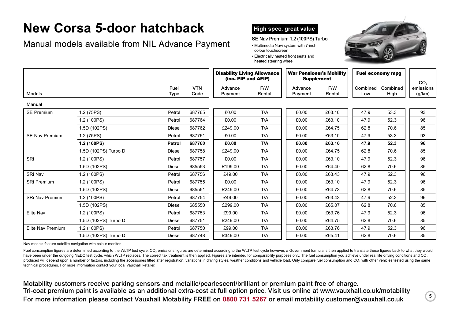# **New Corsa 5-door hatchback**

### Manual models available from NIL Advance Payment

### **High spec, great value**

#### SE Nav Premium 1.2 (100PS) Turbo

- Multimedia Navi system with 7-inch colour touchscreen
- Electrically heated front seats and heated steering wheel



 $\sqrt{5}$ 

|                          |                      |               |                    |                    | <b>Disability Living Allowance</b><br>(inc. PIP and AFIP) |                    | <b>War Pensioner's Mobility</b><br><b>Supplement</b> | <b>Fuel economy mpg</b> |                  | CO <sub>2</sub>     |
|--------------------------|----------------------|---------------|--------------------|--------------------|-----------------------------------------------------------|--------------------|------------------------------------------------------|-------------------------|------------------|---------------------|
| <b>Models</b>            |                      | Fuel<br>Type  | <b>VTN</b><br>Code | Advance<br>Payment | F/W<br>Rental                                             | Advance<br>Payment | F/W<br>Rental                                        | Combined<br>Low         | Combined<br>High | emissions<br>(g/km) |
| Manual                   |                      |               |                    |                    |                                                           |                    |                                                      |                         |                  |                     |
| <b>SE Premium</b>        | 1.2 (75PS)           | Petrol        | 687765             | £0.00              | T/A                                                       | £0.00              | £63.10                                               | 47.9                    | 53.3             | 93                  |
|                          | 1.2 (100PS)          | Petrol        | 687764             | £0.00              | T/A                                                       | £0.00              | £63.10                                               | 47.9                    | 52.3             | 96                  |
|                          | 1.5D (102PS)         | Diesel        | 687762             | £249.00            | T/A                                                       | £0.00              | £64.75                                               | 62.8                    | 70.6             | 85                  |
| <b>SE Nav Premium</b>    | 1.2 (75PS)           | Petrol        | 687761             | £0.00              | T/A                                                       | £0.00              | £63.10                                               | 47.9                    | 53.3             | 93                  |
|                          | 1.2 (100PS)          | Petrol        | 687760             | £0.00              | T/A                                                       | £0.00              | £63.10                                               | 47.9                    | 52.3             | 96                  |
|                          | 1.5D (102PS) Turbo D | Diesel        | 687758             | £249.00            | T/A                                                       | £0.00              | £64.75                                               | 62.8                    | 70.6             | 85                  |
| SRi                      | 1.2 (100PS)          | Petrol        | 687757             | £0.00              | T/A                                                       | £0.00              | £63.10                                               | 47.9                    | 52.3             | 96                  |
|                          | 1.5D (102PS)         | <b>Diesel</b> | 685553             | £199.00            | T/A                                                       | £0.00              | £64.40                                               | 62.8                    | 70.6             | 85                  |
| SRi Nav                  | 1.2 (100PS)          | Petrol        | 687756             | £49.00             | T/A                                                       | £0.00              | £63.43                                               | 47.9                    | 52.3             | 96                  |
| <b>SRi Premium</b>       | 1.2 (100PS)          | Petrol        | 687755             | £0.00              | T/A                                                       | £0.00              | £63.10                                               | 47.9                    | 52.3             | 96                  |
|                          | 1.5D (102PS)         | Diesel        | 685551             | £249.00            | T/A                                                       | £0.00              | £64.73                                               | 62.8                    | 70.6             | 85                  |
| <b>SRi Nav Premium</b>   | 1.2 (100PS)          | Petrol        | 687754             | £49.00             | T/A                                                       | £0.00              | £63.43                                               | 47.9                    | 52.3             | 96                  |
|                          | 1.5D (102PS)         | Diesel        | 685550             | £299.00            | T/A                                                       | £0.00              | £65.07                                               | 62.8                    | 70.6             | 85                  |
| Elite Nav                | 1.2 (100PS)          | Petrol        | 687753             | £99.00             | T/A                                                       | £0.00              | £63.76                                               | 47.9                    | 52.3             | 96                  |
|                          | 1.5D (102PS) Turbo D | Diesel        | 687751             | £249.00            | T/A                                                       | £0.00              | £64.75                                               | 62.8                    | 70.6             | 85                  |
| <b>Elite Nav Premium</b> | 1.2 (100PS)          | Petrol        | 687750             | £99.00             | T/A                                                       | £0.00              | £63.76                                               | 47.9                    | 52.3             | 96                  |
|                          | 1.5D (102PS) Turbo D | <b>Diesel</b> | 687748             | £349.00            | T/A                                                       | £0.00              | £65.41                                               | 62.8                    | 70.6             | 85                  |

Nav models feature satellite navigation with colour monitor.

Fuel consumption figures are determined according to the WLTP test cycle. CO<sub>2</sub> emissions figures are determined according to the WLTP test cycle however, a Government formula is then applied to translate these figures bac have been under the outgoing NEDC test cycle, which WLTP replaces. The correct tax treatment is then applied. Figures are intended for comparability purposes only. The fuel consumption you achieve under real life driving c produced will depend upon a number of factors, including the accessories fitted after registration, variations in driving styles, weather conditions and vehicle load. Only compare fuel consumption and CO<sub>2</sub> with other vehi technical procedures. For more information contact your local Vauxhall Retailer.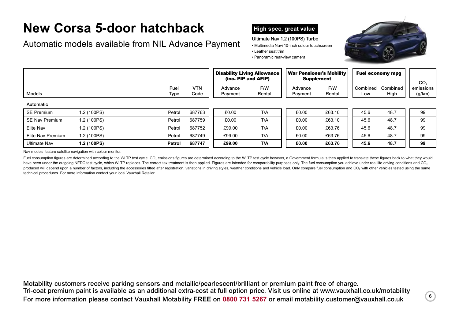### **New Corsa 5-door hatchback**

### Automatic models available from NIL Advance Payment

### **High spec, great value**

#### Ultimate Nav 1.2 (100PS) Turbo

- Multimedia Navi 10-inch colour touchscreen • Leather seat trim
- Panoramic rear-view camera



 $6<sup>1</sup>$ 

|                       |             |              |             | <b>Disability Living Allowance</b><br>(inc. PIP and AFIP) |               | <b>Supplement</b>  | <b>War Pensioner's Mobility</b> | <b>Fuel economy mpg</b> | CO <sub>2</sub>  |                     |
|-----------------------|-------------|--------------|-------------|-----------------------------------------------------------|---------------|--------------------|---------------------------------|-------------------------|------------------|---------------------|
| Models                |             | Fuel<br>Type | VTN<br>Code | Advance<br>Payment                                        | F/W<br>Rental | Advance<br>Payment | F/W<br>Rental                   | Combined<br>Low         | Combined<br>High | emissions<br>(g/km) |
| Automatic             |             |              |             |                                                           |               |                    |                                 |                         |                  |                     |
| <b>SE Premium</b>     | I.2 (100PS) | Petrol       | 687763      | £0.00                                                     | T/A           | £0.00              | £63.10                          | 45.6                    | 48.7             | 99                  |
| <b>SE Nav Premium</b> | 1.2 (100PS) | Petrol       | 687759      | £0.00                                                     | T/A           | £0.00              | £63.10                          | 45.6                    | 48.7             | 99                  |
| Elite Nav             | I.2 (100PS) | Petrol       | 687752      | £99.00                                                    | T/A           | £0.00              | £63.76                          | 45.6                    | 48.7             | 99                  |
| Elite Nav Premium     | 1.2 (100PS) | Petrol       | 687749      | £99.00                                                    | T/A           | £0.00              | £63.76                          | 45.6                    | 48.7             | 99                  |
| Ultimate Nav          | 1.2 (100PS) | Petrol       | 687747      | £99.00                                                    | T/A           | £0.00              | £63.76                          | 45.6                    | 48.7             | 99                  |

Nav models feature satellite navigation with colour monitor.

Fuel consumption figures are determined according to the WLTP test cycle. CO<sub>2</sub> emissions figures are determined according to the WLTP test cycle however, a Government formula is then applied to translate these figures bac have been under the outgoing NEDC test cycle, which WLTP replaces. The correct tax treatment is then applied. Figures are intended for comparability purposes only. The fuel consumption you achieve under real life driving c produced will depend upon a number of factors, including the accessories fitted after registration, variations in driving styles, weather conditions and vehicle load. Only compare fuel consumption and CO<sub>2</sub> with other vehi technical procedures. For more information contact your local Vauxhall Retailer.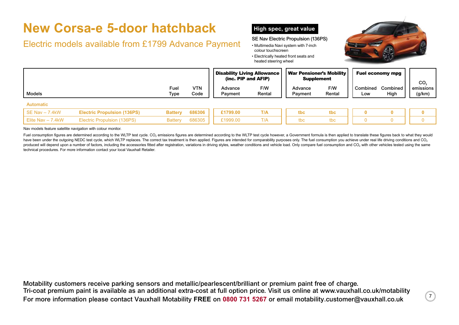### **New Corsa-e 5-door hatchback**

### Electric models available from £1799 Advance Payment

#### **High spec, great value**

#### SE Nav Electric Propulsion (136PS)

- Multimedia Navi system with 7-inch colour touchscreen
- Electrically heated front seats and heated steering wheel



7

|                     |                                    |                |                    | <b>Disability Living Allowance</b><br>(inc. PIP and AFIP) |               | War Pensioner's Mobility  <br><b>Supplement</b> |               | <b>Fuel economy mpg</b> | CO <sub>2</sub>  |                     |
|---------------------|------------------------------------|----------------|--------------------|-----------------------------------------------------------|---------------|-------------------------------------------------|---------------|-------------------------|------------------|---------------------|
| Models              |                                    | Fuel<br>Type   | <b>VTN</b><br>Code | Advance<br>Payment                                        | F/W<br>Rental | Advance<br>Payment                              | F/W<br>Rental | Combined<br>Low         | Combined<br>High | emissions<br>(g/km) |
| Automatic           |                                    |                |                    |                                                           |               |                                                 |               |                         |                  |                     |
| $SE$ Nav $- 7.4$ kW | <b>Electric Propulsion (136PS)</b> | <b>Battery</b> | 686306             | £1799.00                                                  | T/A           | tbc                                             | tbc           |                         | 0                | $\mathbf{0}$        |
| Elite Nav - 7.4kW   | Electric Propulsion (136PS)        | <b>Battery</b> | 686305             | £1999.00                                                  | T/A           | tbc                                             | tbc           |                         |                  | 0                   |

Nav models feature satellite navigation with colour monitor.

Fuel consumption figures are determined according to the WLTP test cycle. CO<sub>2</sub> emissions figures are determined according to the WLTP test cycle however, a Government formula is then applied to translate these figures bac have been under the outgoing NEDC test cycle, which WLTP replaces. The correct tax treatment is then applied. Figures are intended for comparability purposes only. The fuel consumption you achieve under real life driving c produced will depend upon a number of factors, including the accessories fitted after registration, variations in driving styles, weather conditions and vehicle load. Only compare fuel consumption and CO<sub>2</sub> with other vehi technical procedures. For more information contact your local Vauxhall Retailer.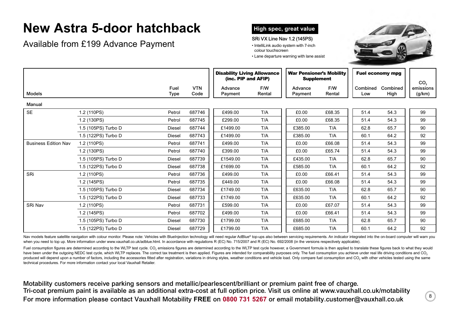# **New Astra 5-door hatchback**

### Available from £199 Advance Payment

#### **High spec, great value**

#### SRi VX Line Nav 1.2 (145PS)

- IntelliLink audio system with 7-inch colour touchscreen
- Lane departure warning with lane assist



 $\sqrt{8}$ 

|                             |                     |               |                    |                    | <b>Disability Living Allowance</b><br>(inc. PIP and AFIP) |                    | <b>War Pensioner's Mobility</b><br><b>Supplement</b> |                 | <b>Fuel economy mpg</b> |                                        |
|-----------------------------|---------------------|---------------|--------------------|--------------------|-----------------------------------------------------------|--------------------|------------------------------------------------------|-----------------|-------------------------|----------------------------------------|
| Models                      |                     | Fuel<br>Type  | <b>VTN</b><br>Code | Advance<br>Payment | F/W<br>Rental                                             | Advance<br>Payment | F/W<br>Rental                                        | Combined<br>Low | Combined<br>High        | CO <sub>2</sub><br>emissions<br>(g/km) |
| Manual                      |                     |               |                    |                    |                                                           |                    |                                                      |                 |                         |                                        |
| <b>SE</b>                   | 1.2 (110PS)         | Petrol        | 687746             | £499.00            | T/A                                                       | £0.00              | £68.35                                               | 51.4            | 54.3                    | 99                                     |
|                             | 1.2 (130PS)         | Petrol        | 687745             | £299.00            | T/A                                                       | £0.00              | £68.35                                               | 51.4            | 54.3                    | 99                                     |
|                             | 1.5 (105PS) Turbo D | Diesel        | 687744             | £1499.00           | T/A                                                       | £385.00            | T/A                                                  | 62.8            | 65.7                    | 90                                     |
|                             | 1.5 (122PS) Turbo D | Diesel        | 687743             | £1499.00           | T/A                                                       | £385.00            | T/A                                                  | 60.1            | 64.2                    | 92                                     |
| <b>Business Edition Nav</b> | 1.2 (110PS)         | Petrol        | 687741             | £499.00            | T/A                                                       | £0.00              | £66.08                                               | 51.4            | 54.3                    | 99                                     |
|                             | 1.2 (130PS)         | Petrol        | 687740             | £399.00            | T/A                                                       | £0.00              | £65.74                                               | 51.4            | 54.3                    | 99                                     |
|                             | 1.5 (105PS) Turbo D | Diesel        | 687739             | £1549.00           | T/A                                                       | £435.00            | T/A                                                  | 62.8            | 65.7                    | 90                                     |
|                             | 1.5 (122PS) Turbo D | <b>Diesel</b> | 687738             | £1699.00           | T/A                                                       | £585.00            | T/A                                                  | 60.1            | 64.2                    | 92                                     |
| SRi                         | 1.2 (110PS)         | Petrol        | 687736             | £499.00            | T/A                                                       | £0.00              | £66.41                                               | 51.4            | 54.3                    | 99                                     |
|                             | 1.2 (145PS)         | Petrol        | 687735             | £449.00            | T/A                                                       | £0.00              | £66.08                                               | 51.4            | 54.3                    | 99                                     |
|                             | 1.5 (105PS) Turbo D | Diesel        | 687734             | £1749.00           | T/A                                                       | £635.00            | T/A                                                  | 62.8            | 65.7                    | 90                                     |
|                             | 1.5 (122PS) Turbo D | <b>Diesel</b> | 687733             | £1749.00           | T/A                                                       | £635.00            | T/A                                                  | 60.1            | 64.2                    | 92                                     |
| SRi Nav                     | 1.2 (110PS)         | Petrol        | 687731             | £599.00            | T/A                                                       | £0.00              | £67.07                                               | 51.4            | 54.3                    | 99                                     |
|                             | 1.2 (145PS)         | Petrol        | 687702             | £499.00            | T/A                                                       | £0.00              | £66.41                                               | 51.4            | 54.3                    | 99                                     |
|                             | 1.5 (105PS) Turbo D | <b>Diesel</b> | 687730             | £1799.00           | T/A                                                       | £685.00            | T/A                                                  | 62.8            | 65.7                    | 90                                     |
|                             | 1.5 (122PS) Turbo D | Diesel        | 687729             | £1799.00           | T/A                                                       | £685.00            | T/A                                                  | 60.1            | 64.2                    | 92                                     |

Nav models feature satellite navigation with colour monitor. Please note: Vehicles with Bluelniection technology will need regular AdBlue® top-ups also between servicing requirements. An indicator integrated into the on-bo when you need to top up. More information under www.vauxhall.co.uk/adblue.html. In accordance with regulations R (EC) No. 715/2007 and R (EC) No. 692/2008 (in the versions respectively applicable).

Fuel consumption figures are determined according to the WLTP test cycle. CO<sub>2</sub> emissions figures are determined according to the WLTP test cycle however, a Government formula is then applied to translate these figures bac have been under the outgoing NEDC test cycle, which WLTP replaces. The correct tax treatment is then applied. Figures are intended for comparability purposes only. The fuel consumption you achieve under real life driving c produced will depend upon a number of factors, including the accessories fitted after registration, variations in driving styles, weather conditions and vehicle load. Only compare fuel consumption and CO<sub>2</sub> with other vehi technical procedures. For more information contact your local Vauxhall Retailer.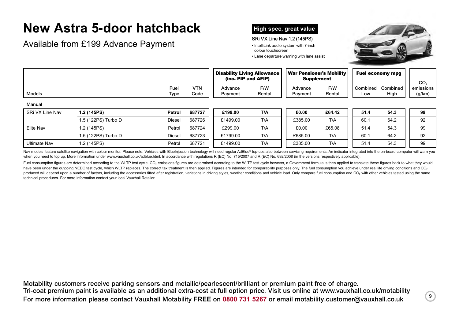### **New Astra 5-door hatchback**

### Available from £199 Advance Payment

#### **High spec, great value**

#### SRi VX Line Nav 1.2 (145PS)

- IntelliLink audio system with 7-inch colour touchscreen
- Lane departure warning with lane assist



 $\left[9\right]$ 

|                     |                     |               |                    |                    | <b>Disability Living Allowance</b><br>(inc. PIP and AFIP) |                    | <b>War Pensioner's Mobility</b><br><b>Supplement</b> |                 | <b>Fuel economy mpg</b> |                                        |  |
|---------------------|---------------------|---------------|--------------------|--------------------|-----------------------------------------------------------|--------------------|------------------------------------------------------|-----------------|-------------------------|----------------------------------------|--|
| Models              |                     | Fuel<br>Type  | <b>VTN</b><br>Code | Advance<br>Payment | F/W<br>Rental                                             | Advance<br>Payment | F/W<br>Rental                                        | Combined<br>Low | Combined<br>High        | CO <sub>2</sub><br>emissions<br>(g/km) |  |
| Manual              |                     |               |                    |                    |                                                           |                    |                                                      |                 |                         |                                        |  |
| SRi VX Line Nav     | 1.2 (145PS)         | <b>Petrol</b> | 687727             | £199.00            | T/A                                                       | £0.00              | £64.42                                               | 51.4            | 54.3                    | 99                                     |  |
|                     | 1.5 (122PS) Turbo D | <b>Diesel</b> | 687726             | £1499.00           | T/A                                                       | £385.00            | T/A                                                  | 60.1            | 64.2                    | 92                                     |  |
| Elite Nav           | 1.2 (145PS)         | Petrol        | 687724             | £299.00            | T/A                                                       | £0.00              | £65.08                                               | 51.4            | 54.3                    | 99                                     |  |
|                     | 1.5 (122PS) Turbo D | <b>Diesel</b> | 687723             | £1799.00           | T/A                                                       | £685.00            | T/A                                                  | 60.1            | 64.2                    | 92                                     |  |
| <b>Ultimate Nav</b> | 1.2 (145PS)         | Petrol        | 687721             | £1499.00           | T/A                                                       | £385.00            | T/A                                                  | 51.4            | 54.3                    | 99                                     |  |

Nav models feature satellite navigation with colour monitor. Please note: Vehicles with Bluelniection technology will need regular AdBlue® top-ups also between servicing requirements. An indicator integrated into the on-bo when you need to top up. More information under www.vauxhall.co.uk/adblue.html. In accordance with regulations R (EC) No. 715/2007 and R (EC) No. 692/2008 (in the versions respectively applicable).

Fuel consumption figures are determined according to the WLTP test cycle. CO<sub>2</sub> emissions figures are determined according to the WLTP test cycle however, a Government formula is then applied to translate these figures bac have been under the outgoing NEDC test cycle, which WLTP replaces. The correct tax treatment is then applied. Figures are intended for comparability purposes only. The fuel consumption you achieve under real life driving c produced will depend upon a number of factors, including the accessories fitted after registration, variations in driving styles, weather conditions and vehicle load. Only compare fuel consumption and CO<sub>2</sub> with other vehi technical procedures. For more information contact your local Vauxhall Retailer.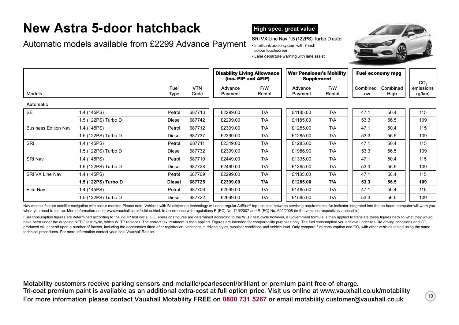# **New Astra 5-door hatchback**

### Automatic models available from £2299 Advance Payment

### **High spec, great value**

SRi VX Line Nav 1.5 (122PS) Turbo D auto

• IntelliLink audio system with 7-inch colour touchscreen





10

|                             |                     |               |                    | <b>Disability Living Allowance</b><br>(inc. PIP and AFIP) |               | <b>War Pensioner's Mobility</b><br><b>Supplement</b> |                    | <b>Fuel economy mpg</b> |                 | CO <sub>2</sub>  |                     |
|-----------------------------|---------------------|---------------|--------------------|-----------------------------------------------------------|---------------|------------------------------------------------------|--------------------|-------------------------|-----------------|------------------|---------------------|
| Models                      |                     | Fuel<br>Type  | <b>VTN</b><br>Code | Advance<br>Payment                                        | F/W<br>Rental |                                                      | Advance<br>Payment | F/W<br>Rental           | Combined<br>Low | Combined<br>High | emissions<br>(g/km) |
| Automatic                   |                     |               |                    |                                                           |               |                                                      |                    |                         |                 |                  |                     |
| <b>SE</b>                   | 1.4 (145PS)         | Petrol        | 687713             | £2299.00                                                  | T/A           |                                                      | £1185.00           | T/A                     | 47.1            | 50.4             | 115                 |
|                             | 1.5 (122PS) Turbo D | Diesel        | 687742             | £2299.00                                                  | T/A           |                                                      | £1185.00           | T/A                     | 53.3            | 56.5             | 109                 |
| <b>Business Edition Nav</b> | 1.4 (145PS)         | Petrol        | 687712             | £2399.00                                                  | T/A           |                                                      | £1285.00           | T/A                     | 47.1            | 50.4             | 115                 |
|                             | 1.5 (122PS) Turbo D | Diesel        | 687737             | £2399.00                                                  | T/A           |                                                      | £1285.00           | T/A                     | 53.3            | 56.5             | 109                 |
| SRi                         | 1.4 (145PS)         | Petrol        | 687711             | £2349.00                                                  | T/A           |                                                      | £1285.00           | T/A                     | 47.1            | 50.4             | 115                 |
|                             | 1.5 (122PS) Turbo D | Diesel        | 687732             | £2399.00                                                  | T/A           |                                                      | £1986.90           | T/A                     | 53.3            | 56.5             | 109                 |
| SRi Nav                     | 1.4 (145PS)         | Petrol        | 687710             | £2449.00                                                  | T/A           |                                                      | £1335.00           | T/A                     | 47.1            | 50.4             | 115                 |
|                             | 1.5 (122PS) Turbo D | Diesel        | 687728             | £2499.00                                                  | T/A           |                                                      | £1385.00           | T/A                     | 53.3            | 56.5             | 109                 |
| SRi VX Line Nav             | 1.4 (145PS)         | Petrol        | 687709             | £2299.00                                                  | T/A           |                                                      | £1185.00           | T/A                     | 47.1            | 50.4             | 115                 |
|                             | 1.5 (122PS) Turbo D | <b>Diesel</b> | 687725             | £2399.00                                                  | T/A           |                                                      | £1285.00           | T/A                     | 53.3            | 56.5             | 109                 |
| <b>Elite Nav</b>            | 1.4 (145PS)         | Petrol        | 687706             | £2599.00                                                  | T/A           |                                                      | £1485.00           | T/A                     | 47.1            | 50.4             | 115                 |
|                             | 1.5 (122PS) Turbo D | Diesel        | 687722             | £2699.00                                                  | T/A           |                                                      | £1585.00           | T/A                     | 53.3            | 56.5             | 109                 |

Nav models feature satellite navigation with colour monitor. Please note: Vehicles with BlueInjection technology will need regular AdBlue® top-ups also between servicing requirements. An indicator integrated into the on-bo when you need to top up. More information under www.vauxhall.co.uk/adblue.html. In accordance with regulations R (EC) No. 715/2007 and R (EC) No. 692/2008 (in the versions respectively applicable).

Fuel consumption figures are determined according to the WLTP test cycle. CO<sub>2</sub> emissions figures are determined according to the WLTP test cycle however, a Government formula is then applied to translate these figures bac have been under the outgoing NEDC test cycle, which WLTP replaces. The correct tax treatment is then applied. Figures are intended for comparability purposes only. The fuel consumption you achieve under real life driving c produced will depend upon a number of factors, including the accessories fitted after registration, variations in driving styles, weather conditions and vehicle load. Only compare fuel consumption and CO<sub>2</sub> with other vehi technical procedures. For more information contact your local Vauxhall Retailer.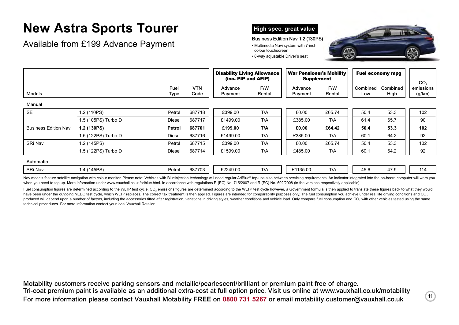# **New Astra Sports Tourer**

### Available from £199 Advance Payment

#### **High spec, great value**

#### Business Edition Nav 1.2 (130PS)

- Multimedia Navi system with 7-inch colour touchscreen
- 8-way adjustable Driver's seat



 $11$ 

|                             |                     |              |                    | <b>Disability Living Allowance</b><br>(inc. PIP and AFIP) |               |                    | <b>War Pensioner's Mobility</b><br><b>Supplement</b> |                 | <b>Fuel economy mpg</b> |                                        |  |
|-----------------------------|---------------------|--------------|--------------------|-----------------------------------------------------------|---------------|--------------------|------------------------------------------------------|-----------------|-------------------------|----------------------------------------|--|
| Models                      |                     | Fuel<br>Type | <b>VTN</b><br>Code | Advance<br>Payment                                        | F/W<br>Rental | Advance<br>Payment | F/W<br>Rental                                        | Combined<br>Low | Combined<br>High        | CO <sub>2</sub><br>emissions<br>(g/km) |  |
| Manual                      |                     |              |                    |                                                           |               |                    |                                                      |                 |                         |                                        |  |
| <b>SE</b>                   | 1.2 (110PS)         | Petrol       | 687718             | £399.00                                                   | T/A           | £0.00              | £65.74                                               | 50.4            | 53.3                    | 102                                    |  |
|                             | 1.5 (105PS) Turbo D | Diesel       | 687717             | £1499.00                                                  | T/A           | £385.00            | T/A                                                  | 61.4            | 65.7                    | 90                                     |  |
| <b>Business Edition Nav</b> | 1.2 (130PS)         | Petrol       | 687701             | £199.00                                                   | T/A           | £0.00              | £64.42                                               | 50.4            | 53.3                    | 102                                    |  |
|                             | 1.5 (122PS) Turbo D | Diesel       | 687716             | £1499.00                                                  | T/A           | £385.00            | T/A                                                  | 60.1            | 64.2                    | 92                                     |  |
| SRi Nav                     | 1.2 (145PS)         | Petrol       | 687715             | £399.00                                                   | T/A           | £0.00              | £65.74                                               | 50.4            | 53.3                    | 102                                    |  |
|                             | 1.5 (122PS) Turbo D | Diesel       | 687714             | £1599.00                                                  | T/A           | £485.00            | T/A                                                  | 60.1            | 64.2                    | 92                                     |  |
| Automatic                   |                     |              |                    |                                                           |               |                    |                                                      |                 |                         |                                        |  |
| SRi Nav                     | 1.4 (145PS)         | Petrol       | 687703             | £2249.00                                                  | T/A           | £1135.00           | T/A                                                  | 45.6            | 47.9                    | 114                                    |  |

Nav models feature satellite navigation with colour monitor. Please note: Vehicles with BlueInjection technology will need regular AdBlue® top-ups also between servicing requirements. An indicator integrated into the on-bo when you need to top up. More information under www.vauxhall.co.uk/adblue.html. In accordance with regulations R (EC) No. 715/2007 and R (EC) No. 692/2008 (in the versions respectively applicable).

Fuel consumption figures are determined according to the WLTP test cycle. CO<sub>2</sub> emissions figures are determined according to the WLTP test cycle however, a Government formula is then applied to translate these figures bac have been under the outgoing NEDC test cycle, which WLTP replaces. The correct tax treatment is then applied. Figures are intended for comparability purposes only. The fuel consumption you achieve under real life driving c produced will depend upon a number of factors, including the accessories fitted after registration, variations in driving styles, weather conditions and vehicle load. Only compare fuel consumption and CO<sub>2</sub> with other vehi technical procedures. For more information contact your local Vauxhall Retailer.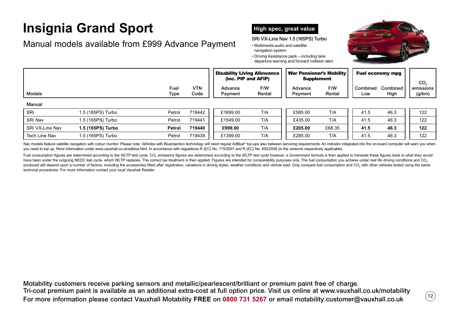# **Insignia Grand Sport**

### Manual models available from £999 Advance Payment

### **High spec, great value**

#### SRi VX-Line Nav 1.5 (165PS) Turbo

- Multimedia audio and satellite navigation system
- Driving Assistance pack including lane departure warning and forward collision alert



|                 |                   |              |                    | <b>Disability Living Allowance</b><br>(inc. PIP and AFIP) |               | <b>War Pensioner's Mobility</b><br><b>Supplement</b> |               | <b>Fuel economy mpg</b> | CO <sub>2</sub>  |                     |  |
|-----------------|-------------------|--------------|--------------------|-----------------------------------------------------------|---------------|------------------------------------------------------|---------------|-------------------------|------------------|---------------------|--|
| Models          |                   | Fuel<br>Type | <b>VTN</b><br>Code | Advance<br>Payment                                        | F/W<br>Rental | Advance<br>Payment                                   | F/W<br>Rental | Combined<br>Low         | Combined<br>High | emissions<br>(g/km) |  |
| Manual          |                   |              |                    |                                                           |               |                                                      |               |                         |                  |                     |  |
| SRi             | 1.5 (165PS) Turbo | Petrol       | 719442             | £1699.00                                                  | T/A           | £585.00                                              | T/A           | 41.5                    | 46.3             | 122                 |  |
| SRi Nav         | 1.5 (165PS) Turbo | Petrol       | 719441             | £1549.00                                                  | T/A           | £435.00                                              | T/A           | 41.5                    | 46.3             | 122                 |  |
| SRi VX-Line Nav | 1.5 (165PS) Turbo | Petrol       | 719440             | £999.00                                                   | T/A           | £205.00                                              | £68.35        | 41.5                    | 46.3             | 122                 |  |
| Tech Line Nav   | 1.5 (165PS) Turbo | Petrol       | 719439             | £1399.00                                                  | T/A           | £285.00                                              | T/A           | 41.5                    | 46.3             | 122                 |  |

Nav models feature satellite navigation with colour monitor. Please note: Vehicles with Bluelniection technology will need regular AdBlue® top-ups also between servicing requirements. An indicator integrated into the on-bo you need to top up. More information under www.vauxhall.co.uk/adblue.html. In accordance with regulations R (EC) No. 715/2007 and R (EC) No. 692/2008 (in the versions respectively applicable).

Fuel consumption figures are determined according to the WLTP test cycle. CO<sub>2</sub> emissions figures are determined according to the WLTP test cycle however, a Government formula is then applied to translate these figures bac have been under the outgoing NEDC test cycle, which WLTP replaces. The correct tax treatment is then applied. Figures are intended for comparability purposes only. The fuel consumption you achieve under real life driving c produced will depend upon a number of factors, including the accessories fitted after registration, variations in driving styles, weather conditions and vehicle load. Only compare fuel consumption and CO<sub>2</sub> with other vehi technical procedures. For more information contact your local Vauxhall Retailer.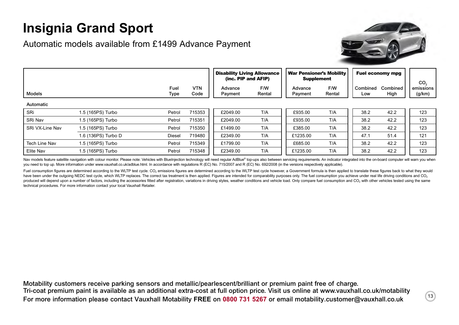# **Insignia Grand Sport**

### Automatic models available from £1499 Advance Payment



13

|                      |                     |               |                    | <b>Disability Living Allowance</b><br>(inc. PIP and AFIP) |               | <b>War Pensioner's Mobility</b><br><b>Supplement</b> |               | <b>Fuel economy mpg</b> |                  |                                        |
|----------------------|---------------------|---------------|--------------------|-----------------------------------------------------------|---------------|------------------------------------------------------|---------------|-------------------------|------------------|----------------------------------------|
| Models               |                     | Fuel<br>Type  | <b>VTN</b><br>Code | Advance<br>Payment                                        | F/W<br>Rental | Advance<br>Payment                                   | F/W<br>Rental | Combined<br>Low         | Combined<br>High | CO <sub>2</sub><br>emissions<br>(g/km) |
| Automatic            |                     |               |                    |                                                           |               |                                                      |               |                         |                  |                                        |
| SRi                  | 1.5 (165PS) Turbo   | Petrol        | 715353             | £2049.00                                                  | T/A           | £935.00                                              | T/A           | 38.2                    | 42.2             | 123                                    |
| SRi Nav              | 1.5 (165PS) Turbo   | Petrol        | 715351             | £2049.00                                                  | T/A           | £935.00                                              | T/A           | 38.2                    | 42.2             | 123                                    |
| SRi VX-Line Nav      | 1.5 (165PS) Turbo   | Petrol        | 715350             | £1499.00                                                  | T/A           | £385.00                                              | T/A           | 38.2                    | 42.2             | 123                                    |
|                      | 1.6 (136PS) Turbo D | <b>Diesel</b> | 719480             | £2349.00                                                  | T/A           | £1235.00                                             | T/A           | 47.1                    | 51.4             | 121                                    |
| <b>Tech Line Nav</b> | 1.5 (165PS) Turbo   | Petrol        | 715349             | £1799.00                                                  | T/A           | £685.00                                              | T/A           | 38.2                    | 42.2             | 123                                    |
| Elite Nav            | 1.5 (165PS) Turbo   | Petrol        | 715348             | £2349.00                                                  | T/A           | £1235.00                                             | T/A           | 38.2                    | 42.2             | 123                                    |

Nav models feature satellite navigation with colour monitor. Please note: Vehicles with Bluelnjection technology will need regular AdBlue® top-ups also between servicing requirements. An indicator integrated into the on-bo you need to top up. More information under www.vauxhall.co.uk/adblue.html. In accordance with requlations R (EC) No. 715/2007 and R (EC) No. 692/2008 (in the versions respectively applicable).

Fuel consumption figures are determined according to the WLTP test cycle. CO<sub>2</sub> emissions figures are determined according to the WLTP test cycle however, a Government formula is then applied to translate these figures bac have been under the outgoing NEDC test cycle, which WLTP replaces. The correct tax treatment is then applied. Figures are intended for comparability purposes only. The fuel consumption you achieve under real life driving c produced will depend upon a number of factors, including the accessories fitted after registration, variations in driving styles, weather conditions and vehicle load. Only compare fuel consumption and CO<sub>2</sub> with other vehi technical procedures. For more information contact your local Vauxhall Retailer.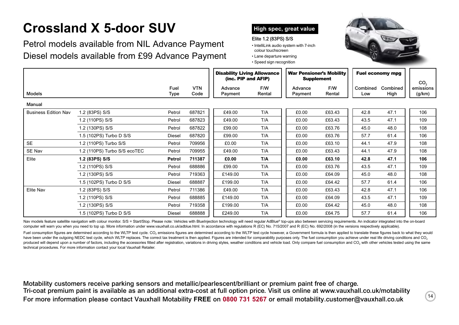# **Crossland X 5-door SUV**

Petrol models available from NIL Advance Payment Diesel models available from £99 Advance Payment

### **High spec, great value**

#### Elite 1.2 (83PS) S/S

• Lane departure warning • Speed sign recognition

• IntelliLink audio system with 7-inch colour touchscreen



14

|                             |                              |              |                    | <b>Disability Living Allowance</b><br>(inc. PIP and AFIP) |               | <b>War Pensioner's Mobility</b><br><b>Supplement</b> |               | <b>Fuel economy mpg</b> |                  |                                        |
|-----------------------------|------------------------------|--------------|--------------------|-----------------------------------------------------------|---------------|------------------------------------------------------|---------------|-------------------------|------------------|----------------------------------------|
| Models                      |                              | Fuel<br>Type | <b>VTN</b><br>Code | Advance<br>Payment                                        | F/W<br>Rental | Advance<br>Payment                                   | F/W<br>Rental | Combined<br>Low         | Combined<br>High | CO <sub>2</sub><br>emissions<br>(g/km) |
| Manual                      |                              |              |                    |                                                           |               |                                                      |               |                         |                  |                                        |
| <b>Business Edition Nav</b> | 1.2 (83PS) S/S               | Petrol       | 687821             | £49.00                                                    | T/A           | £0.00                                                | £63.43        | 42.8                    | 47.1             | 106                                    |
|                             | 1.2 (110PS) S/S              | Petrol       | 687823             | £49.00                                                    | T/A           | £0.00                                                | £63.43        | 43.5                    | 47.1             | 109                                    |
|                             | 1.2 (130PS) S/S              | Petrol       | 687822             | £99.00                                                    | T/A           | £0.00                                                | £63.76        | 45.0                    | 48.0             | 108                                    |
|                             | 1.5 (102PS) Turbo D S/S      | Diesel       | 687820             | £99.00                                                    | T/A           | £0.00                                                | £63.76        | 57.7                    | 61.4             | 106                                    |
| <b>SE</b>                   | 1.2 (110PS) Turbo S/S        | Petrol       | 709956             | £0.00                                                     | T/A           | £0.00                                                | £63.10        | 44.1                    | 47.9             | 108                                    |
| SE Nav                      | 1.2 (110PS) Turbo S/S ecoTEC | Petrol       | 709955             | £49.00                                                    | T/A           | £0.00                                                | £63.43        | 44.1                    | 47.9             | 108                                    |
| Elite                       | 1.2 (83PS) S/S               | Petrol       | 711387             | £0.00                                                     | T/A           | £0.00                                                | £63.10        | 42.8                    | 47.1             | 106                                    |
|                             | 1.2 (110PS) S/S              | Petrol       | 688886             | £99.00                                                    | T/A           | £0.00                                                | £63.76        | 43.5                    | 47.1             | 109                                    |
|                             | 1.2 (130PS) S/S              | Petrol       | 719363             | £149.00                                                   | T/A           | £0.00                                                | £64.09        | 45.0                    | 48.0             | 108                                    |
|                             | 1.5 (102PS) Turbo D S/S      | Diesel       | 688887             | £199.00                                                   | T/A           | £0.00                                                | £64.42        | 57.7                    | 61.4             | 106                                    |
| <b>Elite Nav</b>            | 1.2 (83PS) S/S               | Petrol       | 711386             | £49.00                                                    | T/A           | £0.00                                                | £63.43        | 42.8                    | 47.1             | 106                                    |
|                             | 1.2 (110PS) S/S              | Petrol       | 688885             | £149.00                                                   | T/A           | £0.00                                                | £64.09        | 43.5                    | 47.1             | 109                                    |
|                             | 1.2 (130PS) S/S              | Petrol       | 719358             | £199.00                                                   | T/A           | £0.00                                                | £64.42        | 45.0                    | 48.0             | 108                                    |
|                             | 1.5 (102PS) Turbo D S/S      | Diesel       | 688888             | £249.00                                                   | T/A           | £0.00                                                | £64.75        | 57.7                    | 61.4             | 106                                    |

Nav models feature satellite navigation with colour monitor. S/S = Start/Stop. Please note: Vehicles with Bluelnjection technology will need regular AdBlue® top-ups also between servicing requirements. An indicator integra computer will warn you when you need to top up. More information under www.vauxhall.co.uk/adblue.html. In accordance with regulations R (EC) No. 715/2007 and R (EC) No. 692/2008 (in the versions respectively applicable).

Fuel consumption figures are determined according to the WLTP test cvcle. CO<sub>2</sub> emissions figures are determined according to the WLTP test cycle however, a Government formula is then applied to translate these figures bac have been under the outgoing NEDC test cycle, which WLTP replaces. The correct tax treatment is then applied. Figures are intended for comparability purposes only. The fuel consumption you achieve under real life driving c produced will depend upon a number of factors, including the accessories fitted after registration, variations in driving styles, weather conditions and vehicle load. Only compare fuel consumption and CO<sub>2</sub> with other vehi technical procedures. For more information contact your local Vauxhall Retailer.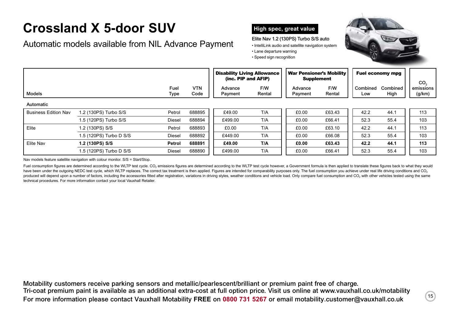# **Crossland X 5-door SUV**

### Automatic models available from NIL Advance Payment

### **High spec, great value**

#### Elite Nav 1.2 (130PS) Turbo S/S auto

- IntelliLink audio and satellite navigation system
- Lane departure warning
- Speed sign recognition



15

|                             |                         |               |                    |                    | <b>Disability Living Allowance</b><br>(inc. PIP and AFIP) |                    | <b>War Pensioner's Mobility</b><br><b>Supplement</b> | <b>Fuel economy mpg</b> |                  |  |                                        |
|-----------------------------|-------------------------|---------------|--------------------|--------------------|-----------------------------------------------------------|--------------------|------------------------------------------------------|-------------------------|------------------|--|----------------------------------------|
| <b>Models</b>               |                         | Fuel<br>Type  | <b>VTN</b><br>Code | Advance<br>Payment | F/W<br>Rental                                             | Advance<br>Payment | F/W<br>Rental                                        | Combined<br>Low         | Combined<br>High |  | CO <sub>2</sub><br>emissions<br>(g/km) |
| Automatic                   |                         |               |                    |                    |                                                           |                    |                                                      |                         |                  |  |                                        |
| <b>Business Edition Nav</b> | 1.2 (130PS) Turbo S/S   | Petrol        | 688895             | £49.00             | T/A                                                       | £0.00              | £63.43                                               | 42.2                    | 44.1             |  | 113                                    |
|                             | 1.5 (120PS) Turbo S/S   | <b>Diesel</b> | 688894             | £499.00            | T/A                                                       | £0.00              | £66.41                                               | 52.3                    | 55.4             |  | 103                                    |
| Elite                       | 1.2 (130PS) S/S         | Petrol        | 688893             | £0.00              | T/A                                                       | £0.00              | £63.10                                               | 42.2                    | 44.1             |  | 113                                    |
|                             | 1.5 (120PS) Turbo D S/S | <b>Diesel</b> | 688892             | £449.00            | T/A                                                       | £0.00              | £66.08                                               | 52.3                    | 55.4             |  | 103                                    |
| Elite Nav                   | 1.2 (130PS) S/S         | Petrol        | 688891             | £49.00             | T/A                                                       | £0.00              | £63.43                                               | 42.2                    | 44.1             |  | 113                                    |
|                             | 1.5 (120PS) Turbo D S/S | Diesel        | 688890             | £499.00            | T/A                                                       | £0.00              | £66.41                                               | 52.3                    | 55.4             |  | 103                                    |

Nav models feature satellite navigation with colour monitor. S/S = Start/Stop.

Fuel consumption figures are determined according to the WLTP test cycle. CO<sub>2</sub> emissions figures are determined according to the WLTP test cycle however, a Government formula is then applied to translate these figures bac have been under the outgoing NEDC test cycle, which WLTP replaces. The correct tax treatment is then applied. Figures are intended for comparability purposes only. The fuel consumption you achieve under real life driving c produced will depend upon a number of factors, including the accessories fitted after registration, variations in driving styles, weather conditions and vehicle load. Only compare fuel consumption and CO<sub>2</sub> with other vehi technical procedures. For more information contact your local Vauxhall Retailer.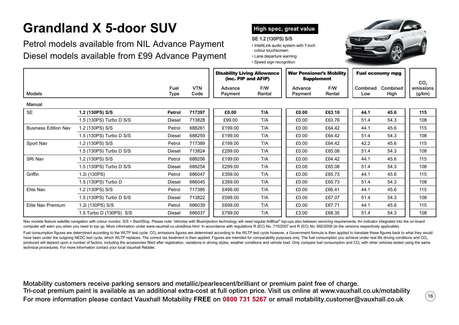# **Grandland X 5-door SUV**

Petrol models available from NIL Advance Payment Diesel models available from £99 Advance Payment

#### **High spec, great value**

#### SE 1.2 (130PS) S/S

- IntelliLink audio system with 7-inch colour touchscreen
- Lane departure warning
- Speed sign recognition



16

|                             |                         |                     |                    |                    | <b>Disability Living Allowance</b><br>(inc. PIP and AFIP) |                    | <b>War Pensioner's Mobility</b><br><b>Supplement</b> |                 | <b>Fuel economy mpg</b> | CO <sub>2</sub>     |
|-----------------------------|-------------------------|---------------------|--------------------|--------------------|-----------------------------------------------------------|--------------------|------------------------------------------------------|-----------------|-------------------------|---------------------|
| Models                      |                         | Fuel<br><b>Type</b> | <b>VTN</b><br>Code | Advance<br>Payment | F/W<br>Rental                                             | Advance<br>Payment | F/W<br>Rental                                        | Combined<br>Low | Combined<br>High        | emissions<br>(g/km) |
| Manual                      |                         |                     |                    |                    |                                                           |                    |                                                      |                 |                         |                     |
| <b>SE</b>                   | 1.2 (130PS) S/S         | Petrol              | 717397             | £0.00              | T/A                                                       | £0.00              | £63.10                                               | 44.1            | 45.6                    | 115                 |
|                             | 1.5 (130PS) Turbo D S/S | Diesel              | 713828             | £99.00             | T/A                                                       | £0.00              | £63.76                                               | 51.4            | 54.3                    | 108                 |
| <b>Business Edition Nav</b> | 1.2 (130PS) S/S         | Petrol              | 688261             | £199.00            | T/A                                                       | £0.00              | £64.42                                               | 44.1            | 45.6                    | 115                 |
|                             | 1.5 (130PS) Turbo D S/S | Diesel              | 688259             | £199.00            | T/A                                                       | £0.00              | £64.42                                               | 51.4            | 54.3                    | 108                 |
| Sport Nav                   | 1.2 (130PS) S/S         | Petrol              | 717389             | £199.00            | T/A                                                       | £0.00              | £64.42                                               | 42.2            | 45.6                    | 115                 |
|                             | 1.5 (130PS) Turbo D S/S | Diesel              | 713824             | £299.00            | T/A                                                       | £0.00              | £65.08                                               | 51.4            | 54.3                    | 108                 |
| SRi Nav                     | 1.2 (130PS) S/S         | Petrol              | 688256             | £199.00            | T/A                                                       | £0.00              | £64.42                                               | 44.1            | 45.6                    | 115                 |
|                             | 1.5 (130PS) Turbo D S/S | Diesel              | 688254             | £299.00            | T/A                                                       | £0.00              | £65.08                                               | 51.4            | 54.3                    | 108                 |
| Griffin                     | 1.2i (130PS)            | Petrol              | 686047             | £399.00            | T/A                                                       | £0.00              | £65.73                                               | 44.1            | 45.6                    | 115                 |
|                             | 1.5 (130PS) Turbo D     | Diesel              | 686045             | £399.00            | T/A                                                       | £0.00              | £65.73                                               | 51.4            | 54.3                    | 108                 |
| Elite Nav                   | 1.2 (130PS) S/S         | Petrol              | 717385             | £499.00            | T/A                                                       | £0.00              | £66.41                                               | 44.1            | 45.6                    | 115                 |
|                             | 1.5 (130PS) Turbo D S/S | Diesel              | 713822             | £599.00            | T/A                                                       | £0.00              | £67.07                                               | 51.4            | 54.3                    | 108                 |
| Elite Nav Premium           | 1.2i (130PS) S/S        | Petrol              | 686039             | £699.00            | T/A                                                       | £0.00              | £67.71                                               | 44.1            | 45.6                    | 115                 |
|                             | 1.5 Turbo D (130PS) S/S | Diesel              | 686037             | £799.00            | T/A                                                       | £3.00              | £68.35                                               | 51.4            | 54.3                    | 108                 |

Nav models feature satellite navigation with colour monitor. S/S = Start/Stop. Please note: Vehicles with Bluelniection technology will need regular AdBlue® top-ups also between servicing requirements. An indicator integra computer will warn you when you need to top up. More information under www.vauxhall.co.uk/adblue.html. In accordance with regulations R (EC) No. 715/2007 and R (EC) No. 692/2008 (in the versions respectively applicable).

Fuel consumption figures are determined according to the WLTP test cycle. CO<sub>2</sub> emissions figures are determined according to the WLTP test cycle however, a Government formula is then applied to translate these figures bac have been under the outgoing NEDC test cycle, which WLTP replaces. The correct tax treatment is then applied. Figures are intended for comparability purposes only. The fuel consumption you achieve under real life driving c produced will depend upon a number of factors, including the accessories fitted after registration, variations in driving styles, weather conditions and vehicle load. Only compare fuel consumption and CO<sub>2</sub> with other vehi technical procedures. For more information contact your local Vauxhall Retailer.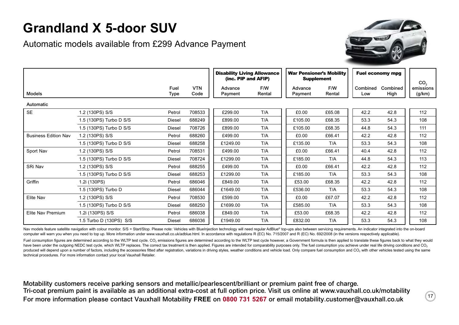# **Grandland X 5-door SUV**

Automatic models available from £299 Advance Payment



17

|                             |                         |              |                    | <b>Disability Living Allowance</b><br>(inc. PIP and AFIP) |               | <b>War Pensioner's Mobility</b><br><b>Supplement</b> |               |                 | <b>Fuel economy mpg</b> | CO <sub>2</sub>     |
|-----------------------------|-------------------------|--------------|--------------------|-----------------------------------------------------------|---------------|------------------------------------------------------|---------------|-----------------|-------------------------|---------------------|
| Models                      |                         | Fuel<br>Type | <b>VTN</b><br>Code | Advance<br>Payment                                        | F/W<br>Rental | Advance<br>Payment                                   | F/W<br>Rental | Combined<br>Low | Combined<br>High        | emissions<br>(g/km) |
| Automatic                   |                         |              |                    |                                                           |               |                                                      |               |                 |                         |                     |
| <b>SE</b>                   | 1.2 (130PS) S/S         | Petrol       | 708533             | £299.00                                                   | T/A           | £0.00                                                | £65.08        | 42.2            | 42.8                    | 112                 |
|                             | 1.5 (130PS) Turbo D S/S | Diesel       | 688249             | £899.00                                                   | T/A           | £105.00                                              | £68.35        | 53.3            | 54.3                    | 108                 |
|                             | 1.5 (130PS) Turbo D S/S | Diesel       | 708726             | £899.00                                                   | T/A           | £105.00                                              | £68.35        | 44.8            | 54.3                    | 111                 |
| <b>Business Edition Nav</b> | 1.2 (130PS) S/S         | Petrol       | 688260             | £499.00                                                   | T/A           | £0.00                                                | £66.41        | 42.2            | 42.8                    | 112                 |
|                             | 1.5 (130PS) Turbo D S/S | Diesel       | 688258             | £1249.00                                                  | T/A           | £135.00                                              | T/A           | 53.3            | 54.3                    | 108                 |
| Sport Nav                   | 1.2 (130PS) S/S         | Petrol       | 708531             | £499.00                                                   | T/A           | £0.00                                                | £66.41        | 40.4            | 42.8                    | 112                 |
|                             | 1.5 (130PS) Turbo D S/S | Diesel       | 708724             | £1299.00                                                  | T/A           | £185.00                                              | T/A           | 44.8            | 54.3                    | 113                 |
| SRi Nav                     | 1.2 (130PS) S/S         | Petrol       | 688255             | £499.00                                                   | T/A           | £0.00                                                | £66.41        | 42.2            | 42.8                    | 112                 |
|                             | 1.5 (130PS) Turbo D S/S | Diesel       | 688253             | £1299.00                                                  | T/A           | £185.00                                              | T/A           | 53.3            | 54.3                    | 108                 |
| Griffin                     | 1.2i (130PS)            | Petrol       | 686046             | £849.00                                                   | T/A           | £53.00                                               | £68.35        | 42.2            | 42.8                    | 112                 |
|                             | 1.5 (130PS) Turbo D     | Diesel       | 686044             | £1649.00                                                  | T/A           | £536.00                                              | T/A           | 53.3            | 54.3                    | 108                 |
| Elite Nav                   | 1.2 (130PS) S/S         | Petrol       | 708530             | £599.00                                                   | T/A           | £0.00                                                | £67.07        | 42.2            | 42.8                    | 112                 |
|                             | 1.5 (130PS) Turbo D S/S | Diesel       | 688250             | £1699.00                                                  | T/A           | £585.00                                              | T/A           | 53.3            | 54.3                    | 108                 |
| Elite Nav Premium           | 1.2i (130PS) S/S        | Petrol       | 686038             | £849.00                                                   | T/A           | £53.00                                               | £68.35        | 42.2            | 42.8                    | 112                 |
|                             | 1.5 Turbo D (130PS) S/S | Diesel       | 686036             | £1949.00                                                  | T/A           | £832.00                                              | T/A           | 53.3            | 54.3                    | 108                 |

Nav models feature satellite navigation with colour monitor. S/S = Start/Stop. Please note: Vehicles with BlueInjection technology will need regular AdBlue® top-ups also between servicing requirements. An indicator integra computer will warn you when you need to top up. More information under www.vauxhall.co.uk/adblue.html. In accordance with regulations R (EC) No. 715/2007 and R (EC) No. 692/2008 (in the versions respectively applicable).

Fuel consumption figures are determined according to the WLTP test cycle. CO<sub>2</sub> emissions figures are determined according to the WLTP test cycle however, a Government formula is then applied to translate these figures bac have been under the outgoing NEDC test cycle, which WLTP replaces. The correct tax treatment is then applied. Figures are intended for comparability purposes only. The fuel consumption you achieve under real life driving c produced will depend upon a number of factors, including the accessories fitted after registration, variations in driving styles, weather conditions and vehicle load. Only compare fuel consumption and CO<sub>2</sub> with other vehi technical procedures. For more information contact your local Vauxhall Retailer.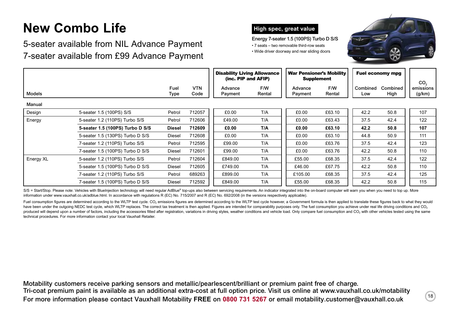# **New Combo Life**

5-seater available from NIL Advance Payment 7-seater available from £99 Advance Payment

#### **High spec, great value**

Energy 7-seater 1.5 (100PS) Turbo D S/S

• 7 seats – two removable third-row seats

• Wide driver doorway and rear sliding doors



18

|               |                                  |               |                    |                    | <b>Disability Living Allowance</b><br>(inc. PIP and AFIP) |                    | <b>War Pensioner's Mobility</b><br><b>Supplement</b> |                 | <b>Fuel economy mpg</b> |                                        |
|---------------|----------------------------------|---------------|--------------------|--------------------|-----------------------------------------------------------|--------------------|------------------------------------------------------|-----------------|-------------------------|----------------------------------------|
| <b>Models</b> |                                  | Fuel<br>Type  | <b>VTN</b><br>Code | Advance<br>Payment | F/W<br>Rental                                             | Advance<br>Payment | F/W<br>Rental                                        | Combined<br>Low | Combined<br>High        | CO <sub>2</sub><br>emissions<br>(g/km) |
| Manual        |                                  |               |                    |                    |                                                           |                    |                                                      |                 |                         |                                        |
| Design        | 5-seater 1.5 (100PS) S/S         | Petrol        | 712057             | £0.00              | T/A                                                       | £0.00              | £63.10                                               | 42.2            | 50.8                    | 107                                    |
| Energy        | 5-seater 1.2 (110PS) Turbo S/S   | Petrol        | 712606             | £49.00             | T/A                                                       | £0.00              | £63.43                                               | 37.5            | 42.4                    | 122                                    |
|               | 5-seater 1.5 (100PS) Turbo D S/S | <b>Diesel</b> | 712609             | £0.00              | T/A                                                       | £0.00              | £63.10                                               | 42.2            | 50.8                    | 107                                    |
|               | 5-seater 1.5 (130PS) Turbo D S/S | Diesel        | 712608             | £0.00              | T/A                                                       | £0.00              | £63.10                                               | 44.8            | 50.9                    | 111                                    |
|               | 7-seater 1.2 (110PS) Turbo S/S   | Petrol        | 712595             | £99.00             | T/A                                                       | £0.00              | £63.76                                               | 37.5            | 42.4                    | 123                                    |
|               | 7-seater 1.5 (100PS) Turbo D S/S | Diesel        | 712601             | £99.00             | T/A                                                       | £0.00              | £63.76                                               | 42.2            | 50.8                    | 110                                    |
| Energy XL     | 5-seater 1.2 (110PS) Turbo S/S   | Petrol        | 712604             | £849.00            | T/A                                                       | £55.00             | £68.35                                               | 37.5            | 42.4                    | 122                                    |
|               | 5-seater 1.5 (100PS) Turbo D S/S | Diesel        | 712605             | £749.00            | T/A                                                       | £46.00             | £67.75                                               | 42.2            | 50.8                    | 110                                    |
|               | 7-seater 1.2 (110PS) Turbo S/S   | Petrol        | 689263             | £899.00            | T/A                                                       | £105.00            | £68.35                                               | 37.5            | 42.4                    | 125                                    |
|               | 7-seater 1.5 (100PS) Turbo D S/S | <b>Diesel</b> | 712592             | £849.00            | T/A                                                       | £55.00             | £68.35                                               | 42.2            | 50.8                    | 115                                    |

S/S = Start/Stop. Please note: Vehicles with BlueInjection technology will need regular AdBlue® top-ups also between servicing requirements. An indicator integrated into the on-board computer will warn you when you need to information under www.vauxhall.co.uk/adblue.html. In accordance with regulations R (EC) No. 715/2007 and R (EC) No. 692/2008 (in the versions respectively applicable).

Fuel consumption figures are determined according to the WLTP test cycle. CO<sub>2</sub> emissions figures are determined according to the WLTP test cycle however, a Government formula is then applied to translate these figures bac have been under the outgoing NEDC test cycle, which WLTP replaces. The correct tax treatment is then applied. Figures are intended for comparability purposes only. The fuel consumption you achieve under real life driving c produced will depend upon a number of factors, including the accessories fitted after registration, variations in driving styles, weather conditions and vehicle load. Only compare fuel consumption and CO<sub>2</sub> with other vehi technical procedures. For more information contact your local Vauxhall Retailer.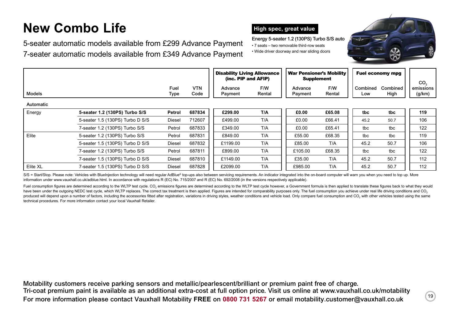# **New Combo Life**

5-seater automatic models available from £299 Advance Payment 7-seater automatic models available from £349 Advance Payment

### **High spec, great value**

Energy 5-seater 1.2 (130PS) Turbo S/S auto

• 7 seats – two removable third-row seats

• Wide driver doorway and rear sliding doors



19

|           |                                  |               |                    | <b>Disability Living Allowance</b><br>(inc. PIP and AFIP) |               |                    | <b>War Pensioner's Mobility</b><br><b>Supplement</b> | <b>Fuel economy mpg</b> |                  |                                        |
|-----------|----------------------------------|---------------|--------------------|-----------------------------------------------------------|---------------|--------------------|------------------------------------------------------|-------------------------|------------------|----------------------------------------|
| Models    |                                  | Fuel<br>Type  | <b>VTN</b><br>Code | Advance<br>Payment                                        | F/W<br>Rental | Advance<br>Payment | F/W<br>Rental                                        | Combined<br>Low         | Combined<br>High | CO <sub>2</sub><br>emissions<br>(g/km) |
| Automatic |                                  |               |                    |                                                           |               |                    |                                                      |                         |                  |                                        |
| Energy    | 5-seater 1.2 (130PS) Turbo S/S   | Petrol        | 687834             | £299.00                                                   | T/A           | £0.00              | £65.08                                               | tbc                     | tbc              | 119                                    |
|           | 5-seater 1.5 (130PS) Turbo D S/S | <b>Diesel</b> | 712607             | £499.00                                                   | T/A           | £0.00              | £66.41                                               | 45.2                    | 50.7             | 106                                    |
|           | 7-seater 1.2 (130PS) Turbo S/S   | Petrol        | 687833             | £349.00                                                   | T/A           | £0.00              | £65.41                                               | tbc                     | tbc              | 122                                    |
| Elite     | 5-seater 1.2 (130PS) Turbo S/S   | Petrol        | 687831             | £849.00                                                   | T/A           | £55.00             | £68.35                                               | tbc                     | tbc              | 119                                    |
|           | 5-seater 1.5 (130PS) Turbo D S/S | <b>Diesel</b> | 687832             | £1199.00                                                  | T/A           | £85.00             | T/A                                                  | 45.2                    | 50.7             | 106                                    |
|           | 7-seater 1.2 (130PS) Turbo S/S   | Petrol        | 687811             | £899.00                                                   | T/A           | £105.00            | £68.35                                               | tbc                     | tbc              | 122                                    |
|           | 7-seater 1.5 (130PS) Turbo D S/S | <b>Diesel</b> | 687810             | £1149.00                                                  | T/A           | £35.00             | T/A                                                  | 45.2                    | 50.7             | 112                                    |
| Elite XL  | 7-seater 1.5 (130PS) Turbo D S/S | <b>Diesel</b> | 687828             | £2099.00                                                  | T/A           | £985.00            | T/A                                                  | 45.2                    | 50.7             | 112                                    |

S/S = Start/Stop. Please note: Vehicles with BlueInjection technology will need regular AdBlue® top-ups also between servicing requirements. An indicator integrated into the on-board computer will warn you when you need to information under www.vauxhall.co.uk/adblue.html. In accordance with regulations R (EC) No. 715/2007 and R (EC) No. 692/2008 (in the versions respectively applicable).

Fuel consumption figures are determined according to the WLTP test cycle. CO<sub>2</sub> emissions figures are determined according to the WLTP test cycle however, a Government formula is then applied to translate these figures bac have been under the outgoing NEDC test cycle, which WLTP replaces. The correct tax treatment is then applied. Figures are intended for comparability purposes only. The fuel consumption you achieve under real life driving c produced will depend upon a number of factors, including the accessories fitted after registration, variations in driving styles, weather conditions and vehicle load. Only compare fuel consumption and CO<sub>2</sub> with other vehi technical procedures. For more information contact your local Vauxhall Retailer.